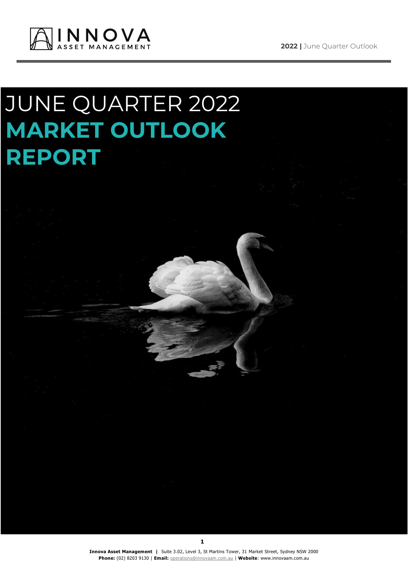

# JUNE QUARTER 2022 **MARKET OUTLOOK REPORT**

**Innova Asset Management |** Suite 3.02, Level 3, St Martins Tower, 31 Market Street, Sydney NSW 2000 **Phone:** (02) 8203 9130 | **Email:** [operations@innovaam.com.au](mailto:operations@innovaam.com.au) | **Website**: www.innovaam.com.au

**1**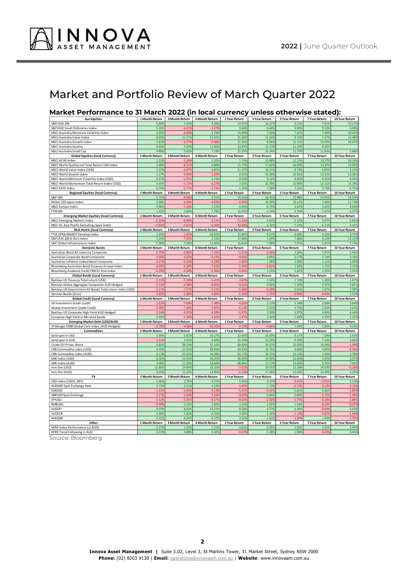

# Market and Portfolio Review of March Quarter 2022

#### **Market Performance to 31 March 2022 (in local currency unless otherwise stated):**

| <b>Aus Equities</b>                                       | 1 Month Return | 3 Month Return | 6 Month Return        | 1 Year Return | 3 Year Return | 5 Year Return | 7 Year Return | 10 Year Return |
|-----------------------------------------------------------|----------------|----------------|-----------------------|---------------|---------------|---------------|---------------|----------------|
| S&P/ASX 200                                               | 6.899          | 2.24%          | 4.389                 | 14.979        | 10.379        | 9.229         | 7.81%         | 10.17%         |
| S&P/ASX Small Ordinaries Index                            | 5.269          | $-4.219$       | $-2.279$              | 9.689         | 9.449         | 9.90%         | 9.529         | 6.009          |
| MSCI Australia Minimum Volatility Index                   | 5.35%          | $-0.039$       | 3.79%                 | 14.49%        | 7.299         | 7.41%         | 7.04%         | 10.42%         |
| MSCI Australia Value Index                                | 8.84%          | 12.719         | 12.45%                | 21.48%        | 13.039        | 8.72%         | 7.47%         | 12.48%         |
| MSCI Australia Growth Index                               | 5.81%          | $-3.779$       | $-0.489$              | 11.91%        | 8.649         | 11.32%        | 10.02%        | 10.679         |
| MSCI Australia Quality                                    | 9.029          | 3.69%          | 11.869                | 13.829        | 14.23         | 11.24%        | 8.269         |                |
| <b>MSCI Australia Small Cap</b>                           | 9.889          | 0.929          | 7.189                 | 15.359        | 16.549        | 12.799        | 11.649        | 5.889          |
| <b>Global Equities (local Currency)</b>                   | 1 Month Return | 3 Month Return | 6 Month Return        | 1 Year Return | 3 Year Return | 5 Year Return | 7 Year Return | 10 Year Return |
| MSCI ACWI Index                                           | 2.229          | $-5.269$       | 1.16%                 | 7.74%         | 13.889        | 12.229        | 10.279        | 10.509         |
| MSCI World Quality net Total Return USD Index             | 3.40%          | $-8.519$       | 0.889                 | 11.77%        | 17.829        | 16.099        | 13.47%        | 13.039         |
| MSCI World Value Index (USD)                              | 2.37%          | $-0.479$       | 6.85%                 | 11.37%        | 10.219        | 8.74%         | 8.05%         | 9.22%          |
| MSCI World Growth Index                                   | 3.279          | $-9.60%$       | $-2.209$              | 9.42%         | 19.389        | 16.92%        | 13.52%        | 13.369         |
| MSCI World Minimum Volatility Index (USD)                 | 4.579          | $-2.959$       | 3.74%                 | 9.54%         | 8.129         | 8.82%         | 8.35%         | 9.45%          |
| MSCI World Momentum Total Return Index (USD)              | 4.459          | $-5.719$       | $-0.279$              | 7.63%         | 15.789        | 15.999        | 13.11%        | 13.399         |
| <b>MSCI EAFE Index</b>                                    | 0.749          | $-5.779$       | $-3.199$              | 1.709         | 7.989         | 7.31%         | 5.70%         | 6.759          |
| <b>Regional Equities (local Currency)</b>                 | 1 Month Return | 3 Month Return | 6 Month Return        | 1 Year Return | 3 Year Return | 5 Year Return | 7 Year Return | 10 Year Return |
| S&P 500                                                   | 3.719          | $-4.60%$       | 5.91%                 | 15.639        | 18.459        | 15.989        | 14.009        | 14.549         |
| Nikkei 225 Japan Index                                    | 5.689          | $-2.58$        | $-4.639$              | $-2.95$       | 10.999        | 10.12%        | 7.469         | 12.739         |
| MSCI Europe Index                                         | 0.969          | $-5.189$       | 2.159                 | 9.959         | 8.759         | 6.679         | 5.029         | 8.649          |
| <b>FTSE100</b>                                            | 1.429          | 2.89%          | 7.789                 | 16.059        | 4.749         | 4.50%         | 5.529         | 6.47%          |
|                                                           |                |                |                       |               |               |               |               |                |
| <b>Emerging Market Equities (local Currency)</b>          | 1 Month Return | 3 Month Return | 6 Month Return        | 1 Year Return | 3 Year Return | 5 Year Return | 7 Year Return | 10 Year Return |
| <b>MSCI Emerging Markets index</b>                        | $-2.25$        | $-6.99$        | $-8.119$              | $-11.139$     | 4.879         | 6.32          | 5.079         | 3.669          |
| MSCI AC Asia Pacific Excluding Japan Index                | $-0.629$       | $-5.629$       | $-6.249$              | $-10.449$     | 6.359         | 7.43%         | 6.119         | 6.419          |
| <b>Real Assets (local Currency)</b>                       | 1 Month Return | 3 Month Return | 6 Month Return        | 1 Year Return | 3 Year Return | 5 Year Return | 7 Year Return | 10 Year Return |
| FTSE EPRA/NAREIT Develop Index                            | 5.609          | $-1.659$       | 10.629                | 21.849        | 6.579         | 6.689         | 5.269         | 9.72%          |
| S&P/ASX 200 A-Reit index                                  | 1.249          | $-7.059$       | 2.33%                 | 17.869        | 5.499         | 7.88%         | 8.109         | 12.259         |
| S&P Global Infrastructure Index                           | 5.90%          | 7.48%          | 12.409                | 16.619        | 7.969         | 7.65%         | 6.619         | 7.73%          |
| <b>Domestic Bonds</b>                                     | 1 Month Return | 3 Month Return | 6 Month Return        | 1 Year Return | 3 Year Return | 5 Year Return | 7 Year Return | 10 Year Return |
| Australian Bond All maturity Composite                    | $-3.75$        | $-5.88$        | $-7.259$              | $-5.55$       | $-0.28$       | 1.869         | 1.919         | 3.469          |
| Australian Corporate Bond Composite                       | $-3.05$        | $-4.63$        | $-6.119$              | $-4.83$       | 0.969         | 2.57%         | 2.749         | 4.169          |
| Australian Inflation Linked Bond Composite                | $-4.27$        | $-6.539$       | $-4.389$              | $-1.669$      | 1.989         | 3.089         | 2.129         | 3.839          |
| Bloomberg Australian Bond Treasury 0+ year Index          | $-4.03$        | $-6.269$       | $-7.629$              | $-5.549$      | $-0.61$       | 1.839         | 1.739         | 3.159          |
| Bloomberg Ausbond Credit FRN 0+ Year Index                | $-0.299$       | $-0.289$       | $-0.369$              | $-0.049$      | 1.199         | 1.859         | 2.209         | 2.919          |
| <b>Global Bonds (Local Currency)</b>                      | 1 Month Return | 3 Month Return | 6 Month Return        | 1 Year Return | 3 Year Return | 5 Year Return | 7 Year Return | 10 Year Return |
| Barclays US Treasury Total return (USD)                   | $-3.119$       | $-5.58$        | $-5.419$              | $-3.679$      | 1.549         | 1.76%         | 1.389         | 1.679          |
| Barclays Global Aggregate Composite AUD Hedged            | $-2.13$        | $-4.98$        | $-4.959$              | $-4.019$      | 0.939         | 1.999         | 2.379         | 3.87%          |
| Barclays UK Government All Bonds Total return index (USD) | $-2.219$       | $-7.579$       | $-5.219$              | $-5.389$      | $-0.299$      | 0.629         | 1.879         | 2.999          |
| German Bonds (Euro)                                       | $-2.85$        | $-5.069$       | $-4.849$              | $-5.30%$      | $-1.259$      | $-0.069$      | $-0.059$      | 1.529          |
| <b>Global Credit (Local Currency)</b>                     | 1 Month Return | 3 Month Return | 6 Month Return        | 1 Year Return | 3 Year Return | 5 Year Return | 7 Year Return | 10 Year Return |
| US Investment Grade Credit                                | $-2.52$        | $-7.699$       | $-7.489$              | $-4.209$      | 3.179         | 3.349         | 2.999         | 3.64%          |
| Global Investment Grade Credit                            | $-2.49$        | $-7.449$       | $-7.879$              | $-6.139$      | 2.119         | 2.75%         | 2.44%         | 2.629          |
| Barclays US Corporate High Yield AUD Hedged               | $-1.14$        | $-4.919$       | $-4.399$              | $-0.979$      | 3.399         | 3.97%         | 4.899         | 6.449          |
| European High Yield or BB rated bonds                     | 0.169          | $-4.189$       | $-4.429$              | $-2.479$      | 2.269         | 2.64%         | 3.139         | 5.379          |
| <b>Emerging Market Debt (USD/AUD)</b>                     | 1 Month Return | 3 Month Return | <b>6 Month Return</b> | 1 Year Return | 3 Year Return | 5 Year Return | 7 Year Return | 10 Year Return |
| JP Morgan EMBI Global Core Index (AUD Hedged)             | $-0.78$        | $-9.86$        | 10.269                | $-7.12$       | $-0.85$       | 1.049         | 2.86          | 4.25%          |
| <b>Commodities</b>                                        | 1 Month Return | 3 Month Return | 6 Month Return        | 1 Year Return | 3 Year Return | 5 Year Return | 7 Year Return | 10 Year Return |
| Gold spot in USD                                          | 1.499          | 5.929          | 10.27%                | 13.459        | 14.599        | 9.17%         | 7.299         | 1.459          |
| Gold spot in AUD                                          | $-1.519$       | 2.81%          | 6.49%                 | 15.14%        | 12.659        | 9.59%         | 7.54%         | 4.869          |
| Crude Oil Prices: Brent                                   | 6.859          | 38.74%         | 37.43%                | 69.839        | 16.079        | 15.35%        | 10.08%        | $-1.499$       |
| CRB Commodity index (USD)                                 | 9.70%          | 27.03%         | 28.94%                | 59.59%        | 16.769        | 9.69%         | 4.85%         | $-0.569$       |
| CRB Commodity index (AUD)                                 | 6.139          | 23.32%         | 24.089                | 62.17%        | 14.729        | 10.13%        | 5.099         | 2.789          |
| LME Index (USD)                                           | 6.56%          | 14.939         | 24.35%                | 36.639        | 19.269        | 12.60%        | 9.459         | 3.579          |
| LME Index (AUD)                                           | 3.099          | 11.58%         | 19.66%                | 38.84%        | 17.17%        | 13.05%        | 9.70%         | 7.05%          |
|                                                           |                |                |                       |               |               |               |               |                |
| Iron Ore (USD)                                            | 12.869         | 24.899         | 18.32%                | $-7.629$      | 19.559        | 12.189        | 14.639        | $-0.189$       |
| Iron Ore (AUD)                                            | 9.199          | 21.259         | 13.859                | $-6.129$      | 17.469        | 12.639        | 14.899        | 3.25%          |
| <b>FX</b>                                                 | 1 Month Return | 3 Month Return | 6 Month Return        | 1 Year Return | 3 Year Return | 5 Year Return | 7 Year Return | 10 Year Return |
| USD index (USDX, DXY)                                     | 1.669          | 2.769          | 4.33%                 | 5.459         | 0.379         | $-0.41$       | $-0.019$      | 2.239          |
| AUDUSD Spot Exchange Rate                                 | 3.739          | 3.119          | 4.19%                 | $-1.679$      | 1.729         | $-0.37$       | $-0.239$      | $-3.229$       |
| <b>EURUSD</b>                                             | $-1.219$       | $-2.449$       | $-4.139$              | $-5.479$      | $-0.419$      | 0.81%         | 0.469         | $-1.839$       |
| <b>GBPUSD Spot Exchange</b>                               | $-2.179$       | $-3.049$       | $-2.349$              | $-4.679$      | 0.049         | 0.89%         | $-1.719$      | $-1.999$       |
| <b>JPYUSD</b>                                             | $-5.529$       | $-5.419$       | $-8.579$              | $-9.029$      | $-2.929$      | $-1.759$      | $-0.189$      | $-3.869$       |
| RMBUSD                                                    | $-0.499$       | 0.25%          | 1.66%                 | 3.35%         | 1.929         | 1.64%         | $-0.329$      | $-0.079$       |
| AUDJPY                                                    | 9.079          | 8.839          | 13.25%                | 8.30%         | 4.779         | 1.40%         | $-0.059$      | 0.639          |
| <b>AUDEUR</b>                                             | 4.469          | 5.829          | 8.35%                 | 4.40%         | 2.169         | $-1.149$      | $-0.679$      | $-1.449$       |
| <b>AUDGBP</b>                                             | 5.229          | 6.05%          | 6.17%                 | 3.31%         | 1.62%         | $-1.30%$      | 1.49%         | $-1.329$       |
| Other                                                     | 1 Month Return | 3 Month Return | 6 Month Return        | 1 Year Return | 3 Year Return | 5 Year Return | 7 Year Return | 10 Year Return |
| HFRX Index Performance (in AUD)                           | 2.57           | 1.53%          | 1.729                 | 4.619         | 8.35%         | 5.90          | 4.30          | 4.40%          |
| HFRX Trend Following in AUD                               | 3.109          | 0.88%          | 0.00%                 | $-0.479$      | 3.289         | 1.80%         | $-0.029$      | 0.659          |

Source: Bloomberg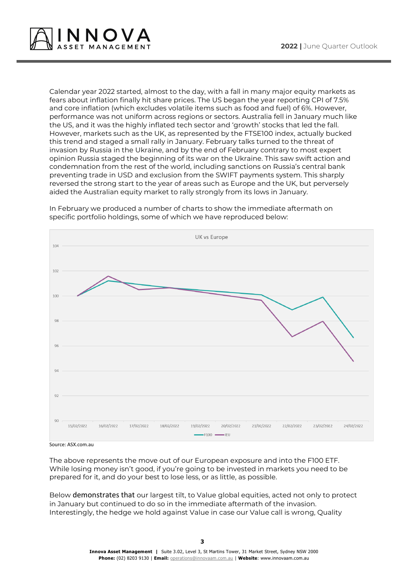

Calendar year 2022 started, almost to the day, with a fall in many major equity markets as fears about inflation finally hit share prices. The US began the year reporting CPI of 7.5% and core inflation (which excludes volatile items such as food and fuel) of 6%. However, performance was not uniform across regions or sectors. Australia fell in January much like the US, and it was the highly inflated tech sector and 'growth' stocks that led the fall. However, markets such as the UK, as represented by the FTSE100 index, actually bucked this trend and staged a small rally in January. February talks turned to the threat of invasion by Russia in the Ukraine, and by the end of February contrary to most expert opinion Russia staged the beginning of its war on the Ukraine. This saw swift action and condemnation from the rest of the world, including sanctions on Russia's central bank preventing trade in USD and exclusion from the SWIFT payments system. This sharply reversed the strong start to the year of areas such as Europe and the UK, but perversely aided the Australian equity market to rally strongly from its lows in January.



In February we produced a number of charts to show the immediate aftermath on specific portfolio holdings, some of which we have reproduced below:

Source: ASX.com.au

The above represents the move out of our European exposure and into the F100 ETF. While losing money isn't good, if you're going to be invested in markets you need to be prepared for it, and do your best to lose less, or as little, as possible.

Below demonstrates that our largest tilt, to Value global equities, acted not only to protect in January but continued to do so in the immediate aftermath of the invasion. Interestingly, the hedge we hold against Value in case our Value call is wrong, Quality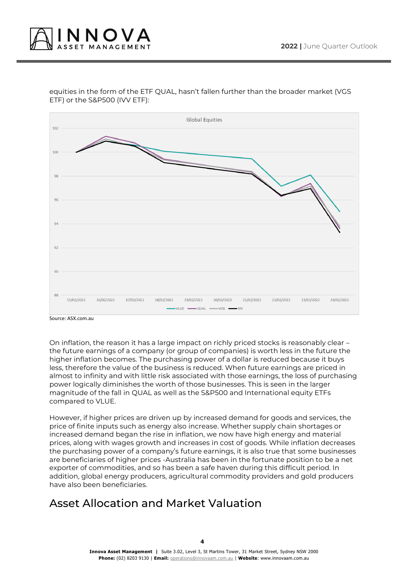

#### equities in the form of the ETF QUAL, hasn't fallen further than the broader market (VGS ETF) or the S&P500 (IVV ETF):



Source: ASX.com.au

On inflation, the reason it has a large impact on richly priced stocks is reasonably clear – the future earnings of a company (or group of companies) is worth less in the future the higher inflation becomes. The purchasing power of a dollar is reduced because it buys less, therefore the value of the business is reduced. When future earnings are priced in almost to infinity and with little risk associated with those earnings, the loss of purchasing power logically diminishes the worth of those businesses. This is seen in the larger magnitude of the fall in QUAL as well as the S&P500 and International equity ETFs compared to VLUE.

However, if higher prices are driven up by increased demand for goods and services, the price of finite inputs such as energy also increase. Whether supply chain shortages or increased demand began the rise in inflation, we now have high energy and material prices, along with wages growth and increases in cost of goods. While inflation decreases the purchasing power of a company's future earnings, it is also true that some businesses are beneficiaries of higher prices -Australia has been in the fortunate position to be a net exporter of commodities, and so has been a safe haven during this difficult period. In addition, global energy producers, agricultural commodity providers and gold producers have also been beneficiaries.

# Asset Allocation and Market Valuation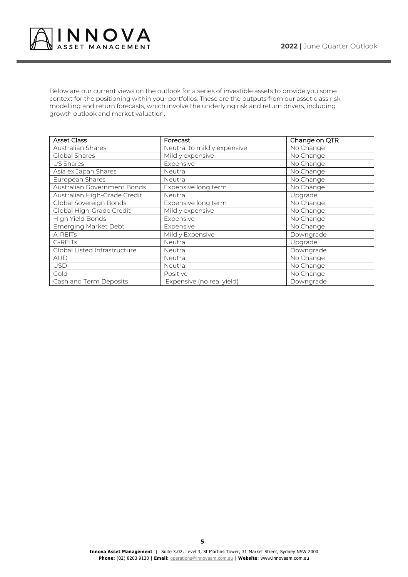

Below are our current views on the outlook for a series of investible assets to provide you some context for the positioning within your portfolios. These are the outputs from our asset class risk modelling and return forecasts, which involve the underlying risk and return drivers, including growth outlook and market valuation.

| <b>Asset Class</b>           | <b>Forecast</b>             | Change on QTR           |
|------------------------------|-----------------------------|-------------------------|
| Australian Shares            | Neutral to mildly expensive | No Change               |
| Global Shares                | Mildly expensive            | No Change               |
| US Shares                    | Expensive                   | No Change               |
| Asia ex Japan Shares         | Neutral                     | No Change               |
| European Shares              | Neutral                     | No Change               |
| Australian Government Bonds  | Expensive long term         | No Change               |
| Australian High-Grade Credit | Neutral                     | Upgrade                 |
| Global Sovereign Bonds       | Expensive long term         | No Change               |
| Global High-Grade Credit     | Mildly expensive            | No Change               |
| High Yield Bonds             | Expensive                   | No Change               |
| <b>Emerging Market Debt</b>  | Expensive                   | No Change               |
| A-REITs                      | Mildly Expensive            | Downgrade               |
| G-REITs                      | Neutral                     | Upgrade                 |
| Global Listed Infrastructure | Neutral                     | Downgrade               |
| <b>AUD</b>                   | Neutral                     | No Change               |
| <b>USD</b>                   | Neutral                     | No Change               |
| Gold                         | Positive                    | $\overline{N}$ o Change |
| Cash and Term Deposits       | Expensive (no real yield)   | Downgrade               |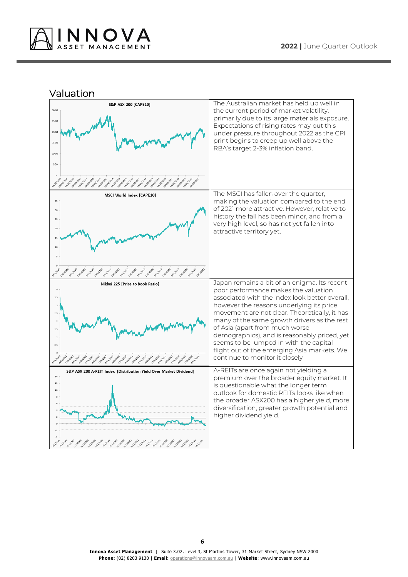

Valuation

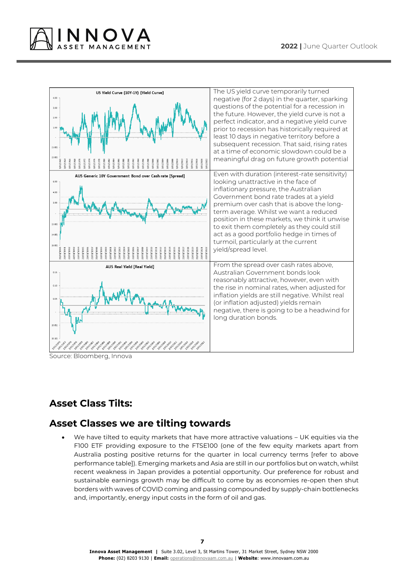



Source: Bloomberg, Innova

## **Asset Class Tilts:**

## **Asset Classes we are tilting towards**

We have tilted to equity markets that have more attractive valuations - UK equities via the F100 ETF providing exposure to the FTSE100 (one of the few equity markets apart from Australia posting positive returns for the quarter in local currency terms [refer to above performance table]). Emerging markets and Asia are still in our portfolios but on watch, whilst recent weakness in Japan provides a potential opportunity. Our preference for robust and sustainable earnings growth may be difficult to come by as economies re-open then shut borders with waves of COVID coming and passing compounded by supply-chain bottlenecks and, importantly, energy input costs in the form of oil and gas.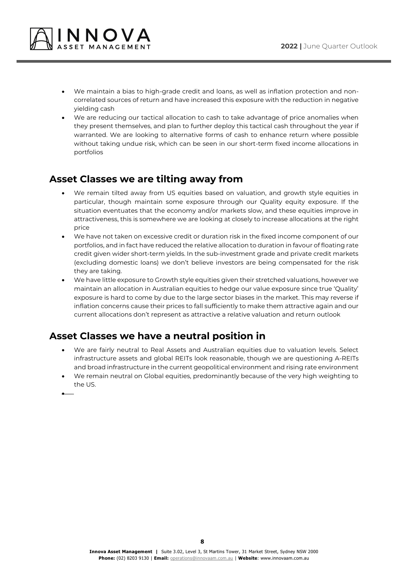

- We maintain a bias to high-grade credit and loans, as well as inflation protection and noncorrelated sources of return and have increased this exposure with the reduction in negative yielding cash
- We are reducing our tactical allocation to cash to take advantage of price anomalies when they present themselves, and plan to further deploy this tactical cash throughout the year if warranted. We are looking to alternative forms of cash to enhance return where possible without taking undue risk, which can be seen in our short-term fixed income allocations in portfolios

## **Asset Classes we are tilting away from**

- We remain tilted away from US equities based on valuation, and growth style equities in particular, though maintain some exposure through our Quality equity exposure. If the situation eventuates that the economy and/or markets slow, and these equities improve in attractiveness, this is somewhere we are looking at closely to increase allocations at the right price
- We have not taken on excessive credit or duration risk in the fixed income component of our portfolios, and in fact have reduced the relative allocation to duration in favour of floating rate credit given wider short-term yields. In the sub-investment grade and private credit markets (excluding domestic loans) we don't believe investors are being compensated for the risk they are taking.
- We have little exposure to Growth style equities given their stretched valuations, however we maintain an allocation in Australian equities to hedge our value exposure since true 'Quality' exposure is hard to come by due to the large sector biases in the market. This may reverse if inflation concerns cause their prices to fall sufficiently to make them attractive again and our current allocations don't represent as attractive a relative valuation and return outlook

## **Asset Classes we have a neutral position in**

- We are fairly neutral to Real Assets and Australian equities due to valuation levels. Select infrastructure assets and global REITs look reasonable, though we are questioning A-REITs and broad infrastructure in the current geopolitical environment and rising rate environment
- We remain neutral on Global equities, predominantly because of the very high weighting to the US.

•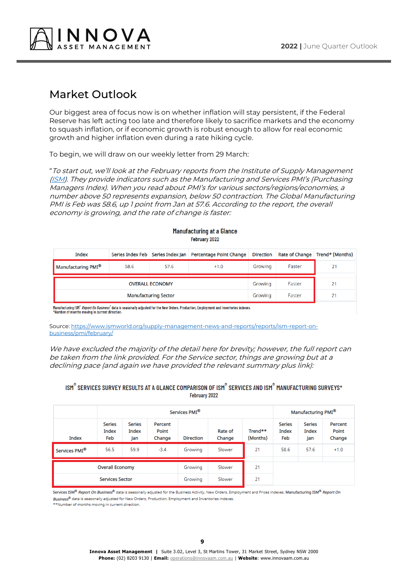

## Market Outlook

Our biggest area of focus now is on whether inflation will stay persistent, if the Federal Reserve has left acting too late and therefore likely to sacrifice markets and the economy to squash inflation, or if economic growth is robust enough to allow for real economic growth and higher inflation even during a rate hiking cycle.

To begin, we will draw on our weekly letter from 29 March:

"To start out, we'll look at the February reports from the Institute of Supply Management [\(ISM](https://www.ismworld.org/supply-management-news-and-reports/reports/ism-report-on-business/)). They provide indicators such as the Manufacturing and Services PMI's (Purchasing Managers Index). When you read about PMI's for various sectors/regions/economies, a number above 50 represents expansion, below 50 contraction. The Global Manufacturing PMI is Feb was 58.6, up 1 point from Jan at 57.6. According to the report, the overall economy is growing, and the rate of change is faster:

| Index                          |                        |         | Series Index Feb   Series Index Jan   Percentage Point Change | <b>Direction</b> |        | Rate of Change   Trend* (Months) |
|--------------------------------|------------------------|---------|---------------------------------------------------------------|------------------|--------|----------------------------------|
| Manufacturing PMI <sup>®</sup> | 58.6<br>57.6<br>$+1.0$ |         | Growing                                                       | Faster           | 21     |                                  |
|                                | <b>OVERALL ECONOMY</b> | Growing | Faster                                                        | 21               |        |                                  |
| <b>Manufacturing Sector</b>    |                        |         |                                                               |                  | Faster | 21                               |

Manufacturing at a Glance February 2022

Manufacturing ISM® Report On Business® data is seasonally adjusted for the New Orders, Production, Employment and Inventories indexes. \*Number of months moving in current direction.

Source[: https://www.ismworld.org/supply-management-news-and-reports/reports/ism-report-on](https://www.ismworld.org/supply-management-news-and-reports/reports/ism-report-on-business/pmi/february/)[business/pmi/february/](https://www.ismworld.org/supply-management-news-and-reports/reports/ism-report-on-business/pmi/february/)

We have excluded the majority of the detail here for brevity; however, the full report can be taken from the link provided. For the Service sector, things are growing but at a declining pace (and again we have provided the relevant summary plus link):

#### ISM® SERVICES SURVEY RESULTS AT A GLANCE COMPARISON OF ISM® SERVICES AND ISM® MANUFACTURING SURVEYS\* February 2022

|                           | Services PMI <sup>®</sup>     |                               |                            |                  |                   |                     | Manufacturing PMI®            |                               |                            |
|---------------------------|-------------------------------|-------------------------------|----------------------------|------------------|-------------------|---------------------|-------------------------------|-------------------------------|----------------------------|
| Index                     | <b>Series</b><br>Index<br>Feb | <b>Series</b><br>Index<br>Jan | Percent<br>Point<br>Change | <b>Direction</b> | Rate of<br>Change | Trend**<br>(Months) | <b>Series</b><br>Index<br>Feb | <b>Series</b><br>Index<br>Jan | Percent<br>Point<br>Change |
| Services PMI <sup>®</sup> | 56.5                          | 59.9                          | $-3.4$                     | Growing          | Slower            | 21                  | 58.6                          | 57.6                          | $+1.0$                     |
| <b>Overall Economy</b>    |                               |                               | Growing                    | Slower           | 21                |                     |                               |                               |                            |
| <b>Services Sector</b>    |                               |                               | Growing                    | Slower           | 21                |                     |                               |                               |                            |

Services ISM® Report On Business® data is seasonally adjusted for the Business Activity, New Orders, Employment and Prices indexes. Manufacturing ISM® Report On

Business<sup>®</sup> data is seasonally adjusted for New Orders, Production, Employment and Inventories indexes.

\*\*Number of months moving in current direction.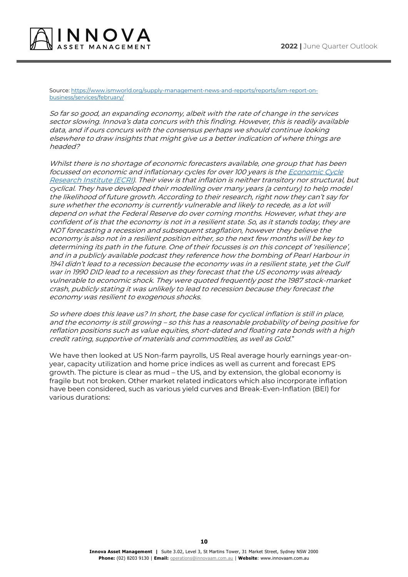

Source[: https://www.ismworld.org/supply-management-news-and-reports/reports/ism-report-on](https://www.ismworld.org/supply-management-news-and-reports/reports/ism-report-on-business/services/february/)[business/services/february/](https://www.ismworld.org/supply-management-news-and-reports/reports/ism-report-on-business/services/february/)

So far so good, an expanding economy, albeit with the rate of change in the services sector slowing. Innova's data concurs with this finding. However, this is readily available data, and if ours concurs with the consensus perhaps we should continue looking elsewhere to draw insights that might give us a better indication of where things are headed?

Whilst there is no shortage of economic forecasters available, one group that has been focussed on economic and inflationary cycles for over 100 years is th[e Economic Cycle](https://www.businesscycle.com/)  [Research Institute \(ECRI\)](https://www.businesscycle.com/). Their view is that inflation is neither transitory nor structural, but cyclical. They have developed their modelling over many years (a century) to help model the likelihood of future growth. According to their research, right now they can't say for sure whether the economy is currently vulnerable and likely to recede, as a lot will depend on what the Federal Reserve do over coming months. However, what they are confident of is that the economy is not in a resilient state. So, as it stands today, they are NOT forecasting a recession and subsequent stagflation, however they believe the economy is also not in a resilient position either, so the next few months will be key to determining its path in the future. One of their focusses is on this concept of 'resilience', and in a publicly available podcast they reference how the bombing of Pearl Harbour in 1941 didn't lead to a recession because the economy was in a resilient state, yet the Gulf war in 1990 DID lead to a recession as they forecast that the US economy was already vulnerable to economic shock. They were quoted frequently post the 1987 stock-market crash, publicly stating it was unlikely to lead to recession because they forecast the economy was resilient to exogenous shocks.

So where does this leave us? In short, the base case for cyclical inflation is still in place, and the economy is still growing – so this has a reasonable probability of being positive for reflation positions such as value equities, short-dated and floating rate bonds with a high credit rating, supportive of materials and commodities, as well as Gold."

We have then looked at US Non-farm payrolls, US Real average hourly earnings year-onyear, capacity utilization and home price indices as well as current and forecast EPS growth. The picture is clear as mud – the US, and by extension, the global economy is fragile but not broken. Other market related indicators which also incorporate inflation have been considered, such as various yield curves and Break-Even-Inflation (BEI) for various durations: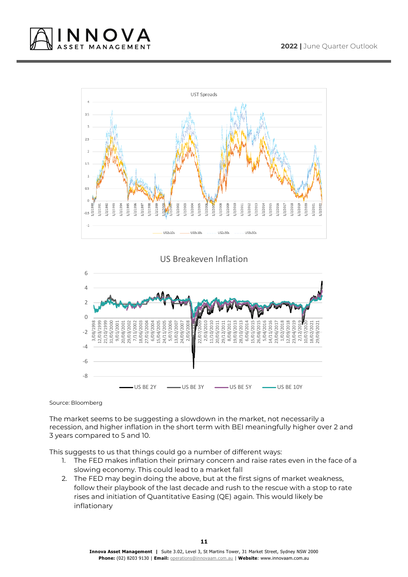



US Breakeven Inflation



Source: Bloomberg

The market seems to be suggesting a slowdown in the market, not necessarily a recession, and higher inflation in the short term with BEI meaningfully higher over 2 and 3 years compared to 5 and 10.

This suggests to us that things could go a number of different ways:

- 1. The FED makes inflation their primary concern and raise rates even in the face of a slowing economy. This could lead to a market fall
- 2. The FED may begin doing the above, but at the first signs of market weakness, follow their playbook of the last decade and rush to the rescue with a stop to rate rises and initiation of Quantitative Easing (QE) again. This would likely be inflationary